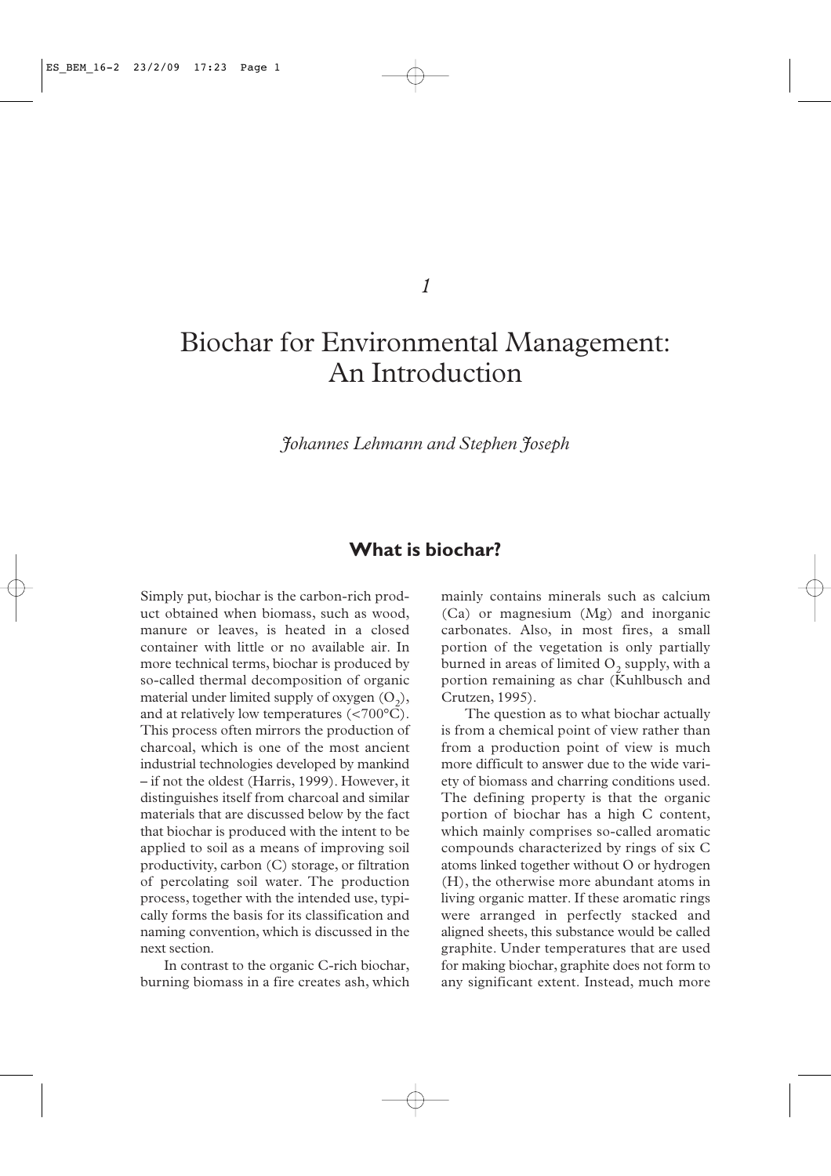# *1*

# Biochar for Environmental Management: An Introduction

### *Johannes Lehmann and Stephen Joseph*

# **What is biochar?**

Simply put, biochar is the carbon-rich product obtained when biomass, such as wood, manure or leaves, is heated in a closed container with little or no available air. In more technical terms, biochar is produced by so-called thermal decomposition of organic material under limited supply of oxygen  $(O_2)$ , and at relatively low temperatures (<700°C). This process often mirrors the production of charcoal, which is one of the most ancient industrial technologies developed by mankind – if not the oldest (Harris, 1999). However, it distinguishes itself from charcoal and similar materials that are discussed below by the fact that biochar is produced with the intent to be applied to soil as a means of improving soil productivity, carbon (C) storage, or filtration of percolating soil water. The production process, together with the intended use, typically forms the basis for its classification and naming convention, which is discussed in the next section.

In contrast to the organic C-rich biochar, burning biomass in a fire creates ash, which mainly contains minerals such as calcium (Ca) or magnesium (Mg) and inorganic carbonates. Also, in most fires, a small portion of the vegetation is only partially burned in areas of limited O<sub>2</sub> supply, with a portion remaining as char (Kuhlbusch and Crutzen, 1995).

The question as to what biochar actually is from a chemical point of view rather than from a production point of view is much more difficult to answer due to the wide variety of biomass and charring conditions used. The defining property is that the organic portion of biochar has a high C content, which mainly comprises so-called aromatic compounds characterized by rings of six C atoms linked together without O or hydrogen (H), the otherwise more abundant atoms in living organic matter. If these aromatic rings were arranged in perfectly stacked and aligned sheets, this substance would be called graphite. Under temperatures that are used for making biochar, graphite does not form to any significant extent. Instead, much more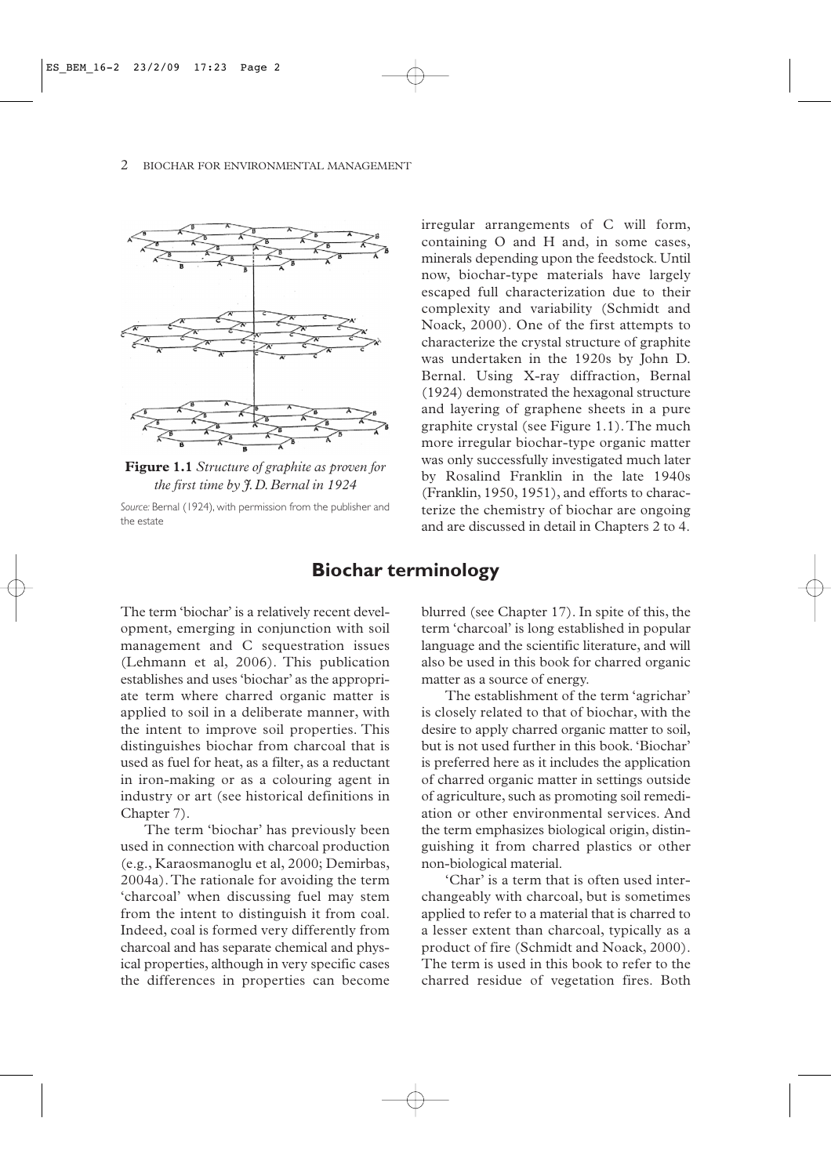

**Figure 1.1** *Structure of graphite as proven for the first time by J. D. Bernal in 1924* 

*Source:* Bernal (1924), with permission from the publisher and the estate

irregular arrangements of C will form, containing O and H and, in some cases, minerals depending upon the feedstock. Until now, biochar-type materials have largely escaped full characterization due to their complexity and variability (Schmidt and Noack, 2000). One of the first attempts to characterize the crystal structure of graphite was undertaken in the 1920s by John D. Bernal. Using X-ray diffraction, Bernal (1924) demonstrated the hexagonal structure and layering of graphene sheets in a pure graphite crystal (see Figure 1.1).The much more irregular biochar-type organic matter was only successfully investigated much later by Rosalind Franklin in the late 1940s (Franklin, 1950, 1951), and efforts to characterize the chemistry of biochar are ongoing and are discussed in detail in Chapters 2 to 4.

### **Biochar terminology**

The term 'biochar' is a relatively recent development, emerging in conjunction with soil management and C sequestration issues (Lehmann et al, 2006). This publication establishes and uses 'biochar' as the appropriate term where charred organic matter is applied to soil in a deliberate manner, with the intent to improve soil properties. This distinguishes biochar from charcoal that is used as fuel for heat, as a filter, as a reductant in iron-making or as a colouring agent in industry or art (see historical definitions in Chapter 7).

The term 'biochar' has previously been used in connection with charcoal production (e.g., Karaosmanoglu et al, 2000; Demirbas, 2004a). The rationale for avoiding the term 'charcoal' when discussing fuel may stem from the intent to distinguish it from coal. Indeed, coal is formed very differently from charcoal and has separate chemical and physical properties, although in very specific cases the differences in properties can become

blurred (see Chapter 17). In spite of this, the term 'charcoal' is long established in popular language and the scientific literature, and will also be used in this book for charred organic matter as a source of energy.

The establishment of the term 'agrichar' is closely related to that of biochar, with the desire to apply charred organic matter to soil, but is not used further in this book. 'Biochar' is preferred here as it includes the application of charred organic matter in settings outside of agriculture, such as promoting soil remediation or other environmental services. And the term emphasizes biological origin, distinguishing it from charred plastics or other non-biological material.

'Char' is a term that is often used interchangeably with charcoal, but is sometimes applied to refer to a material that is charred to a lesser extent than charcoal, typically as a product of fire (Schmidt and Noack, 2000). The term is used in this book to refer to the charred residue of vegetation fires. Both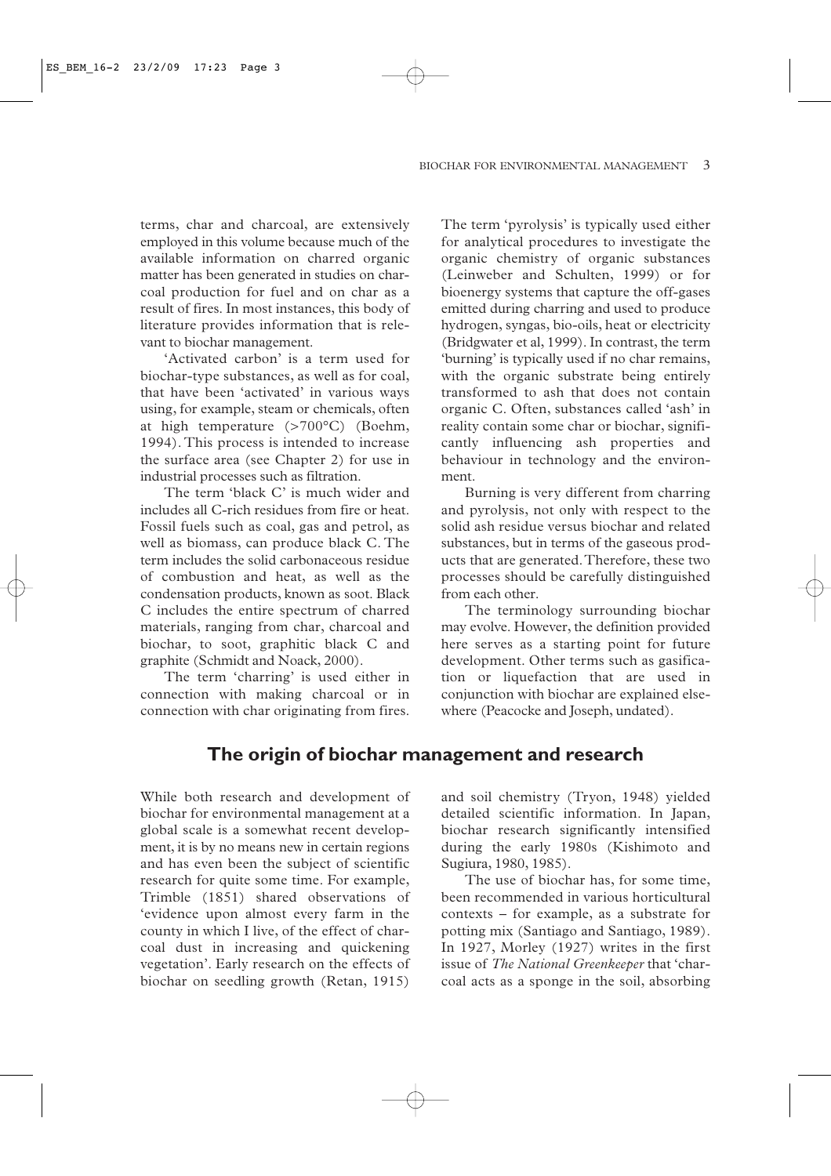terms, char and charcoal, are extensively employed in this volume because much of the available information on charred organic matter has been generated in studies on charcoal production for fuel and on char as a result of fires. In most instances, this body of literature provides information that is relevant to biochar management.

'Activated carbon' is a term used for biochar-type substances, as well as for coal, that have been 'activated' in various ways using, for example, steam or chemicals, often at high temperature (>700°C) (Boehm, 1994). This process is intended to increase the surface area (see Chapter 2) for use in industrial processes such as filtration.

The term 'black C' is much wider and includes all C-rich residues from fire or heat. Fossil fuels such as coal, gas and petrol, as well as biomass, can produce black C. The term includes the solid carbonaceous residue of combustion and heat, as well as the condensation products, known as soot. Black C includes the entire spectrum of charred materials, ranging from char, charcoal and biochar, to soot, graphitic black C and graphite (Schmidt and Noack, 2000).

The term 'charring' is used either in connection with making charcoal or in connection with char originating from fires. The term 'pyrolysis' is typically used either for analytical procedures to investigate the organic chemistry of organic substances (Leinweber and Schulten, 1999) or for bioenergy systems that capture the off-gases emitted during charring and used to produce hydrogen, syngas, bio-oils, heat or electricity (Bridgwater et al, 1999). In contrast, the term 'burning' is typically used if no char remains, with the organic substrate being entirely transformed to ash that does not contain organic C. Often, substances called 'ash' in reality contain some char or biochar, significantly influencing ash properties and behaviour in technology and the environment.

Burning is very different from charring and pyrolysis, not only with respect to the solid ash residue versus biochar and related substances, but in terms of the gaseous products that are generated.Therefore, these two processes should be carefully distinguished from each other.

The terminology surrounding biochar may evolve. However, the definition provided here serves as a starting point for future development. Other terms such as gasification or liquefaction that are used in conjunction with biochar are explained elsewhere (Peacocke and Joseph, undated).

# **The origin of biochar management and research**

While both research and development of biochar for environmental management at a global scale is a somewhat recent development, it is by no means new in certain regions and has even been the subject of scientific research for quite some time. For example, Trimble (1851) shared observations of 'evidence upon almost every farm in the county in which I live, of the effect of charcoal dust in increasing and quickening vegetation'. Early research on the effects of biochar on seedling growth (Retan, 1915)

and soil chemistry (Tryon, 1948) yielded detailed scientific information. In Japan, biochar research significantly intensified during the early 1980s (Kishimoto and Sugiura, 1980, 1985).

The use of biochar has, for some time, been recommended in various horticultural contexts – for example, as a substrate for potting mix (Santiago and Santiago, 1989). In 1927, Morley (1927) writes in the first issue of *The National Greenkeeper* that 'charcoal acts as a sponge in the soil, absorbing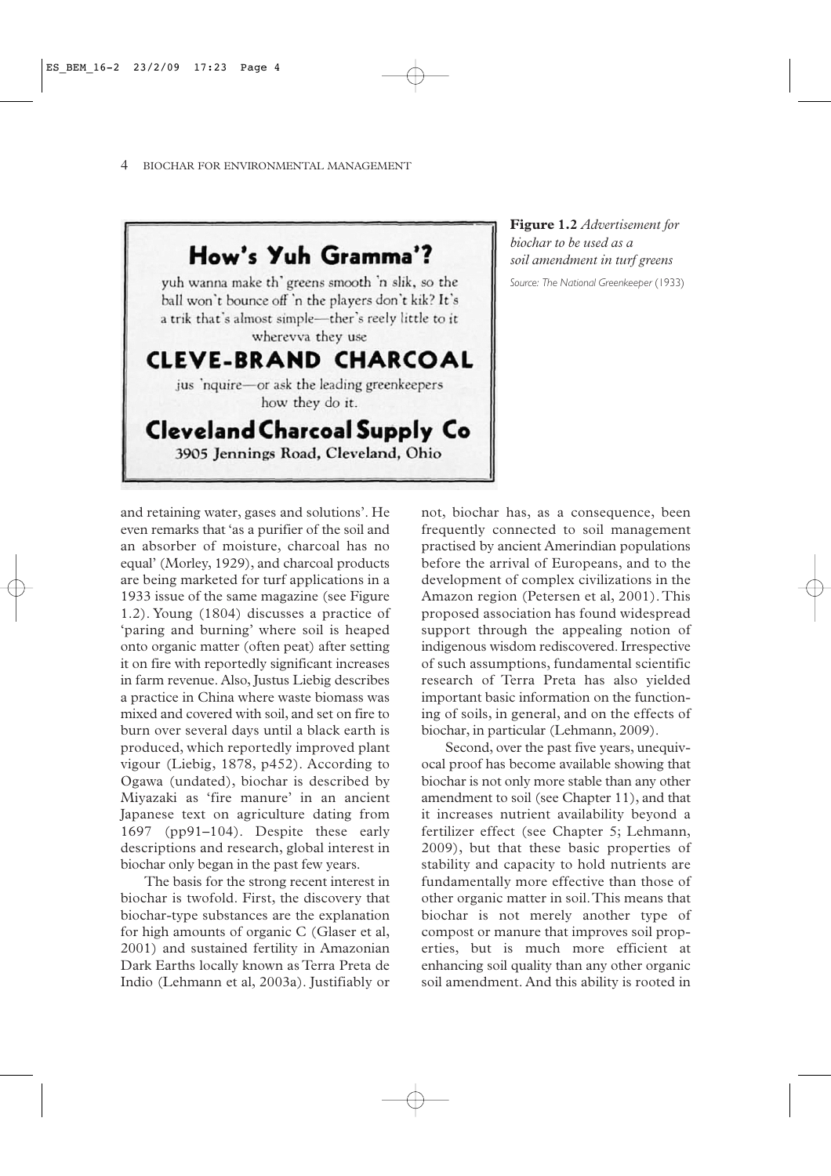

**Figure 1.2** *Advertisement for biochar to be used as a soil amendment in turf greens Source: The National Greenkeeper* (1933)

and retaining water, gases and solutions'. He even remarks that 'as a purifier of the soil and an absorber of moisture, charcoal has no equal' (Morley, 1929), and charcoal products are being marketed for turf applications in a 1933 issue of the same magazine (see Figure 1.2). Young (1804) discusses a practice of 'paring and burning' where soil is heaped onto organic matter (often peat) after setting it on fire with reportedly significant increases in farm revenue. Also, Justus Liebig describes a practice in China where waste biomass was mixed and covered with soil, and set on fire to burn over several days until a black earth is produced, which reportedly improved plant vigour (Liebig, 1878, p452). According to Ogawa (undated), biochar is described by Miyazaki as 'fire manure' in an ancient Japanese text on agriculture dating from 1697 (pp91–104). Despite these early descriptions and research, global interest in biochar only began in the past few years.

The basis for the strong recent interest in biochar is twofold. First, the discovery that biochar-type substances are the explanation for high amounts of organic C (Glaser et al, 2001) and sustained fertility in Amazonian Dark Earths locally known as Terra Preta de Indio (Lehmann et al, 2003a). Justifiably or

not, biochar has, as a consequence, been frequently connected to soil management practised by ancient Amerindian populations before the arrival of Europeans, and to the development of complex civilizations in the Amazon region (Petersen et al, 2001). This proposed association has found widespread support through the appealing notion of indigenous wisdom rediscovered. Irrespective of such assumptions, fundamental scientific research of Terra Preta has also yielded important basic information on the functioning of soils, in general, and on the effects of biochar, in particular (Lehmann, 2009).

Second, over the past five years, unequivocal proof has become available showing that biochar is not only more stable than any other amendment to soil (see Chapter 11), and that it increases nutrient availability beyond a fertilizer effect (see Chapter 5; Lehmann, 2009), but that these basic properties of stability and capacity to hold nutrients are fundamentally more effective than those of other organic matter in soil.This means that biochar is not merely another type of compost or manure that improves soil properties, but is much more efficient at enhancing soil quality than any other organic soil amendment. And this ability is rooted in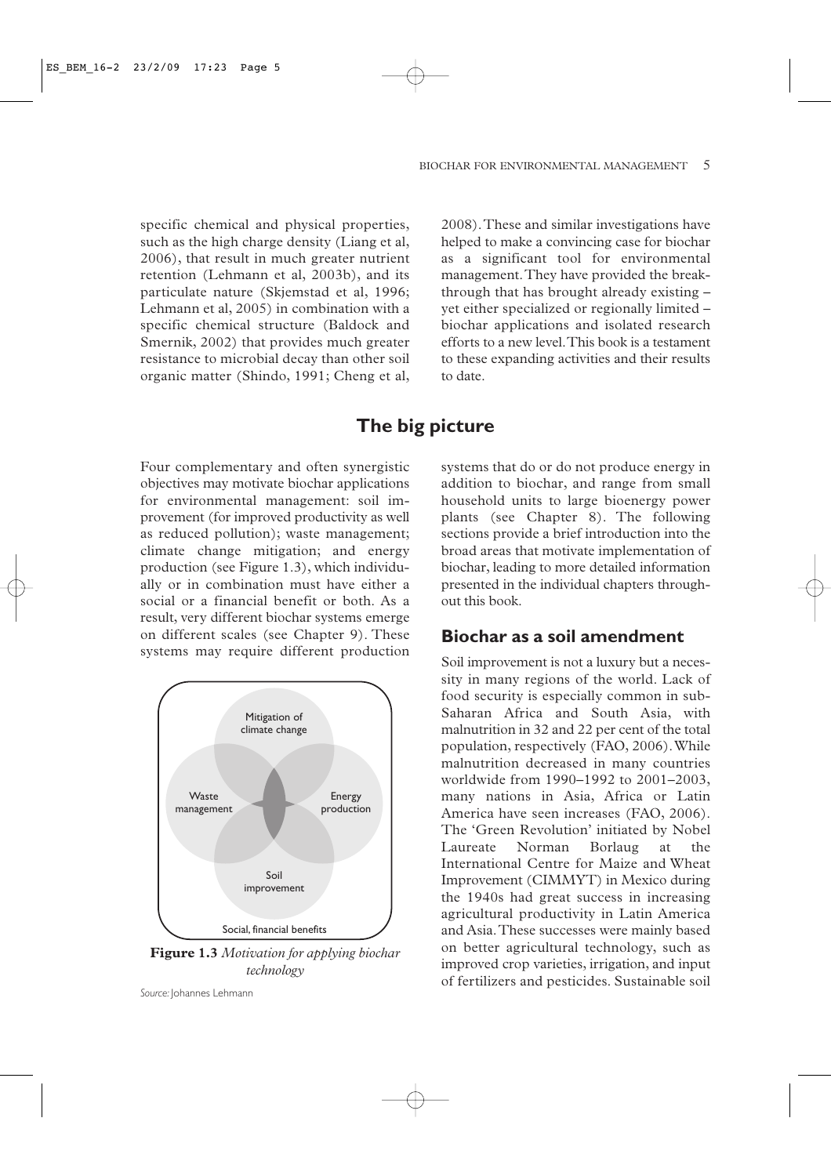specific chemical and physical properties, such as the high charge density (Liang et al, 2006), that result in much greater nutrient retention (Lehmann et al, 2003b), and its particulate nature (Skjemstad et al, 1996; Lehmann et al, 2005) in combination with a specific chemical structure (Baldock and Smernik, 2002) that provides much greater resistance to microbial decay than other soil organic matter (Shindo, 1991; Cheng et al, 2008).These and similar investigations have helped to make a convincing case for biochar as a significant tool for environmental management.They have provided the breakthrough that has brought already existing – yet either specialized or regionally limited – biochar applications and isolated research efforts to a new level.This book is a testament to these expanding activities and their results to date.

# **The big picture**

Four complementary and often synergistic objectives may motivate biochar applications for environmental management: soil improvement (for improved productivity as well as reduced pollution); waste management; climate change mitigation; and energy production (see Figure 1.3), which individually or in combination must have either a social or a financial benefit or both. As a result, very different biochar systems emerge on different scales (see Chapter 9). These systems may require different production



**Figure 1.3** *Motivation for applying biochar technology*

*Source:* Johannes Lehmann

systems that do or do not produce energy in addition to biochar, and range from small household units to large bioenergy power plants (see Chapter 8). The following sections provide a brief introduction into the broad areas that motivate implementation of biochar, leading to more detailed information presented in the individual chapters throughout this book.

### **Biochar as a soil amendment**

Soil improvement is not a luxury but a necessity in many regions of the world. Lack of food security is especially common in sub-Saharan Africa and South Asia, with malnutrition in 32 and 22 per cent of the total population, respectively (FAO, 2006).While malnutrition decreased in many countries worldwide from 1990–1992 to 2001–2003, many nations in Asia, Africa or Latin America have seen increases (FAO, 2006). The 'Green Revolution' initiated by Nobel Laureate Norman Borlaug at the International Centre for Maize and Wheat Improvement (CIMMYT) in Mexico during the 1940s had great success in increasing agricultural productivity in Latin America and Asia.These successes were mainly based on better agricultural technology, such as improved crop varieties, irrigation, and input of fertilizers and pesticides. Sustainable soil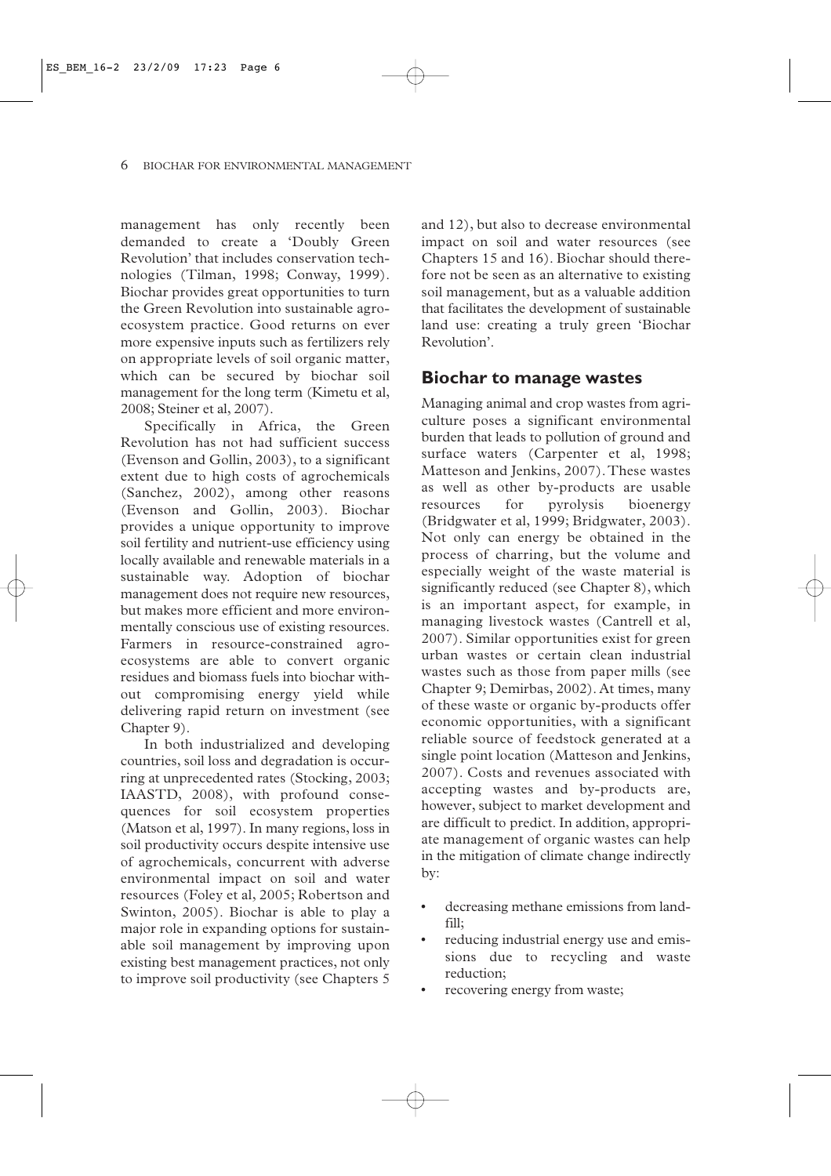management has only recently been demanded to create a 'Doubly Green Revolution' that includes conservation technologies (Tilman, 1998; Conway, 1999). Biochar provides great opportunities to turn the Green Revolution into sustainable agroecosystem practice. Good returns on ever more expensive inputs such as fertilizers rely on appropriate levels of soil organic matter, which can be secured by biochar soil management for the long term (Kimetu et al, 2008; Steiner et al, 2007).

Specifically in Africa, the Green Revolution has not had sufficient success (Evenson and Gollin, 2003), to a significant extent due to high costs of agrochemicals (Sanchez, 2002), among other reasons (Evenson and Gollin, 2003). Biochar provides a unique opportunity to improve soil fertility and nutrient-use efficiency using locally available and renewable materials in a sustainable way. Adoption of biochar management does not require new resources, but makes more efficient and more environmentally conscious use of existing resources. Farmers in resource-constrained agroecosystems are able to convert organic residues and biomass fuels into biochar without compromising energy yield while delivering rapid return on investment (see Chapter 9).

In both industrialized and developing countries, soil loss and degradation is occurring at unprecedented rates (Stocking, 2003; IAASTD, 2008), with profound consequences for soil ecosystem properties (Matson et al, 1997). In many regions, loss in soil productivity occurs despite intensive use of agrochemicals, concurrent with adverse environmental impact on soil and water resources (Foley et al, 2005; Robertson and Swinton, 2005). Biochar is able to play a major role in expanding options for sustainable soil management by improving upon existing best management practices, not only to improve soil productivity (see Chapters 5

and 12), but also to decrease environmental impact on soil and water resources (see Chapters 15 and 16). Biochar should therefore not be seen as an alternative to existing soil management, but as a valuable addition that facilitates the development of sustainable land use: creating a truly green 'Biochar Revolution'.

### **Biochar to manage wastes**

Managing animal and crop wastes from agriculture poses a significant environmental burden that leads to pollution of ground and surface waters (Carpenter et al, 1998; Matteson and Jenkins, 2007).These wastes as well as other by-products are usable resources for pyrolysis bioenergy (Bridgwater et al, 1999; Bridgwater, 2003). Not only can energy be obtained in the process of charring, but the volume and especially weight of the waste material is significantly reduced (see Chapter 8), which is an important aspect, for example, in managing livestock wastes (Cantrell et al, 2007). Similar opportunities exist for green urban wastes or certain clean industrial wastes such as those from paper mills (see Chapter 9; Demirbas, 2002). At times, many of these waste or organic by-products offer economic opportunities, with a significant reliable source of feedstock generated at a single point location (Matteson and Jenkins, 2007). Costs and revenues associated with accepting wastes and by-products are, however, subject to market development and are difficult to predict. In addition, appropriate management of organic wastes can help in the mitigation of climate change indirectly by:

- decreasing methane emissions from landfill;
- reducing industrial energy use and emissions due to recycling and waste reduction;
- recovering energy from waste;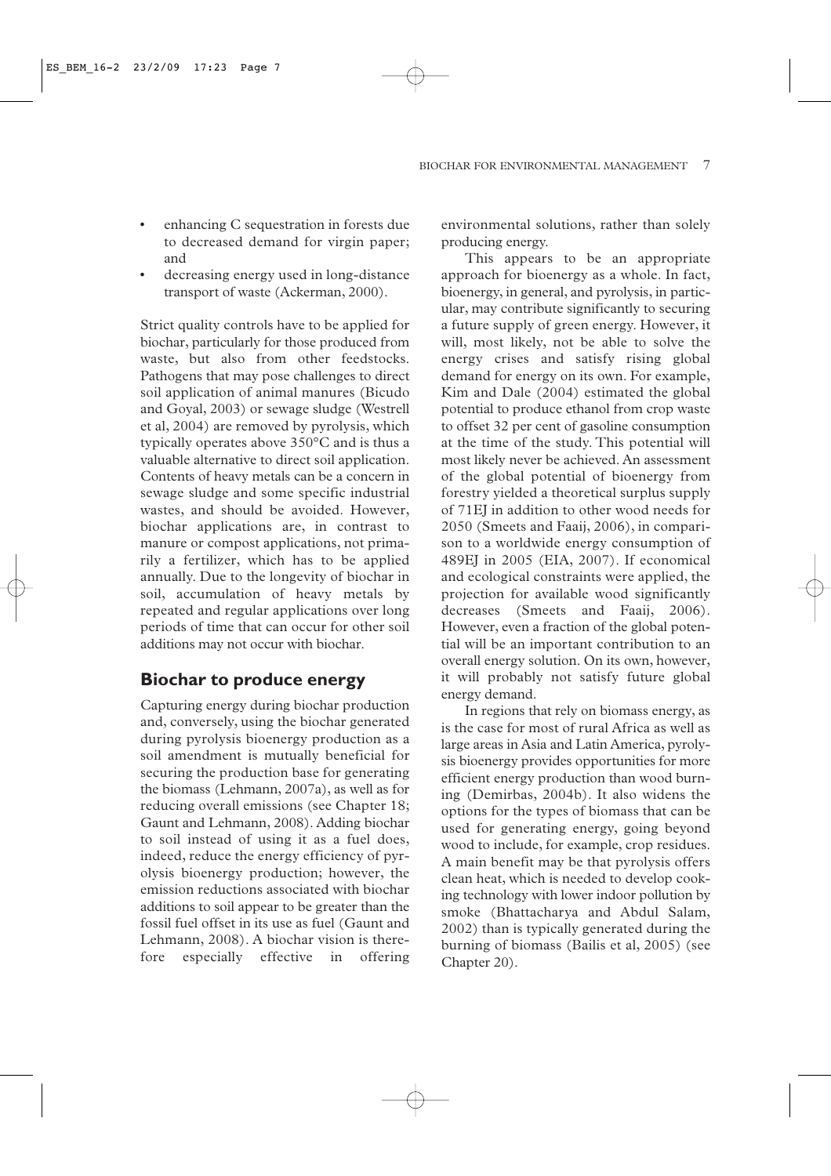- enhancing C sequestration in forests due to decreased demand for virgin paper; and
- decreasing energy used in long-distance transport of waste (Ackerman, 2000).

Strict quality controls have to be applied for biochar, particularly for those produced from waste, but also from other feedstocks. Pathogens that may pose challenges to direct soil application of animal manures (Bicudo and Goyal, 2003) or sewage sludge (Westrell et al, 2004) are removed by pyrolysis, which typically operates above 350°C and is thus a valuable alternative to direct soil application. Contents of heavy metals can be a concern in sewage sludge and some specific industrial wastes, and should be avoided. However, biochar applications are, in contrast to manure or compost applications, not primarily a fertilizer, which has to be applied annually. Due to the longevity of biochar in soil, accumulation of heavy metals by repeated and regular applications over long periods of time that can occur for other soil additions may not occur with biochar.

### **Biochar to produce energy**

Capturing energy during biochar production and, conversely, using the biochar generated during pyrolysis bioenergy production as a soil amendment is mutually beneficial for securing the production base for generating the biomass (Lehmann, 2007a), as well as for reducing overall emissions (see Chapter 18; Gaunt and Lehmann, 2008). Adding biochar to soil instead of using it as a fuel does, indeed, reduce the energy efficiency of pyrolysis bioenergy production; however, the emission reductions associated with biochar additions to soil appear to be greater than the fossil fuel offset in its use as fuel (Gaunt and Lehmann, 2008). A biochar vision is therefore especially effective in offering environmental solutions, rather than solely producing energy.

This appears to be an appropriate approach for bioenergy as a whole. In fact, bioenergy, in general, and pyrolysis, in particular, may contribute significantly to securing a future supply of green energy. However, it will, most likely, not be able to solve the energy crises and satisfy rising global demand for energy on its own. For example, Kim and Dale (2004) estimated the global potential to produce ethanol from crop waste to offset 32 per cent of gasoline consumption at the time of the study. This potential will most likely never be achieved. An assessment of the global potential of bioenergy from forestry yielded a theoretical surplus supply of 71EJ in addition to other wood needs for 2050 (Smeets and Faaij, 2006), in comparison to a worldwide energy consumption of 489EJ in 2005 (EIA, 2007). If economical and ecological constraints were applied, the projection for available wood significantly decreases (Smeets and Faaij, 2006). However, even a fraction of the global potential will be an important contribution to an overall energy solution. On its own, however, it will probably not satisfy future global energy demand.

In regions that rely on biomass energy, as is the case for most of rural Africa as well as large areas in Asia and Latin America, pyrolysis bioenergy provides opportunities for more efficient energy production than wood burning (Demirbas, 2004b). It also widens the options for the types of biomass that can be used for generating energy, going beyond wood to include, for example, crop residues. A main benefit may be that pyrolysis offers clean heat, which is needed to develop cooking technology with lower indoor pollution by smoke (Bhattacharya and Abdul Salam, 2002) than is typically generated during the burning of biomass (Bailis et al, 2005) (see Chapter 20).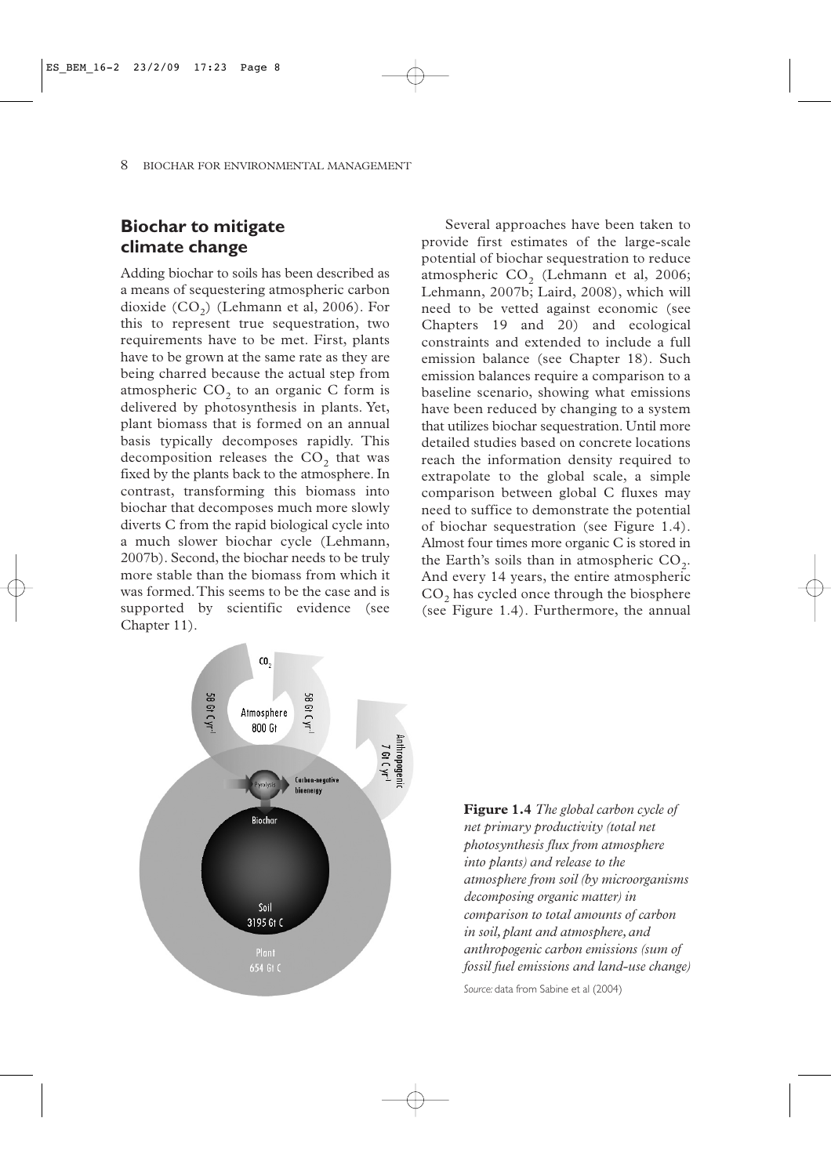# **Biochar to mitigate climate change**

Adding biochar to soils has been described as a means of sequestering atmospheric carbon dioxide  $(CO<sub>2</sub>)$  (Lehmann et al, 2006). For this to represent true sequestration, two requirements have to be met. First, plants have to be grown at the same rate as they are being charred because the actual step from atmospheric  $CO<sub>2</sub>$  to an organic C form is delivered by photosynthesis in plants. Yet, plant biomass that is formed on an annual basis typically decomposes rapidly. This decomposition releases the  $CO<sub>2</sub>$  that was fixed by the plants back to the atmosphere. In contrast, transforming this biomass into biochar that decomposes much more slowly diverts C from the rapid biological cycle into a much slower biochar cycle (Lehmann, 2007b). Second, the biochar needs to be truly more stable than the biomass from which it was formed.This seems to be the case and is supported by scientific evidence (see Chapter 11).

Several approaches have been taken to provide first estimates of the large-scale potential of biochar sequestration to reduce atmospheric  $CO<sub>2</sub>$  (Lehmann et al, 2006; Lehmann, 2007b; Laird, 2008), which will need to be vetted against economic (see Chapters 19 and 20) and ecological constraints and extended to include a full emission balance (see Chapter 18). Such emission balances require a comparison to a baseline scenario, showing what emissions have been reduced by changing to a system that utilizes biochar sequestration. Until more detailed studies based on concrete locations reach the information density required to extrapolate to the global scale, a simple comparison between global C fluxes may need to suffice to demonstrate the potential of biochar sequestration (see Figure 1.4). Almost four times more organic C is stored in the Earth's soils than in atmospheric  $CO<sub>2</sub>$ . And every 14 years, the entire atmospheric CO<sub>2</sub> has cycled once through the biosphere (see Figure 1.4). Furthermore, the annual



**Figure 1.4** *The global carbon cycle of net primary productivity (total net photosynthesis flux from atmosphere into plants) and release to the atmosphere from soil (by microorganisms decomposing organic matter) in comparison to total amounts of carbon in soil, plant and atmosphere, and anthropogenic carbon emissions (sum of fossil fuel emissions and land-use change) Source:* data from Sabine et al (2004)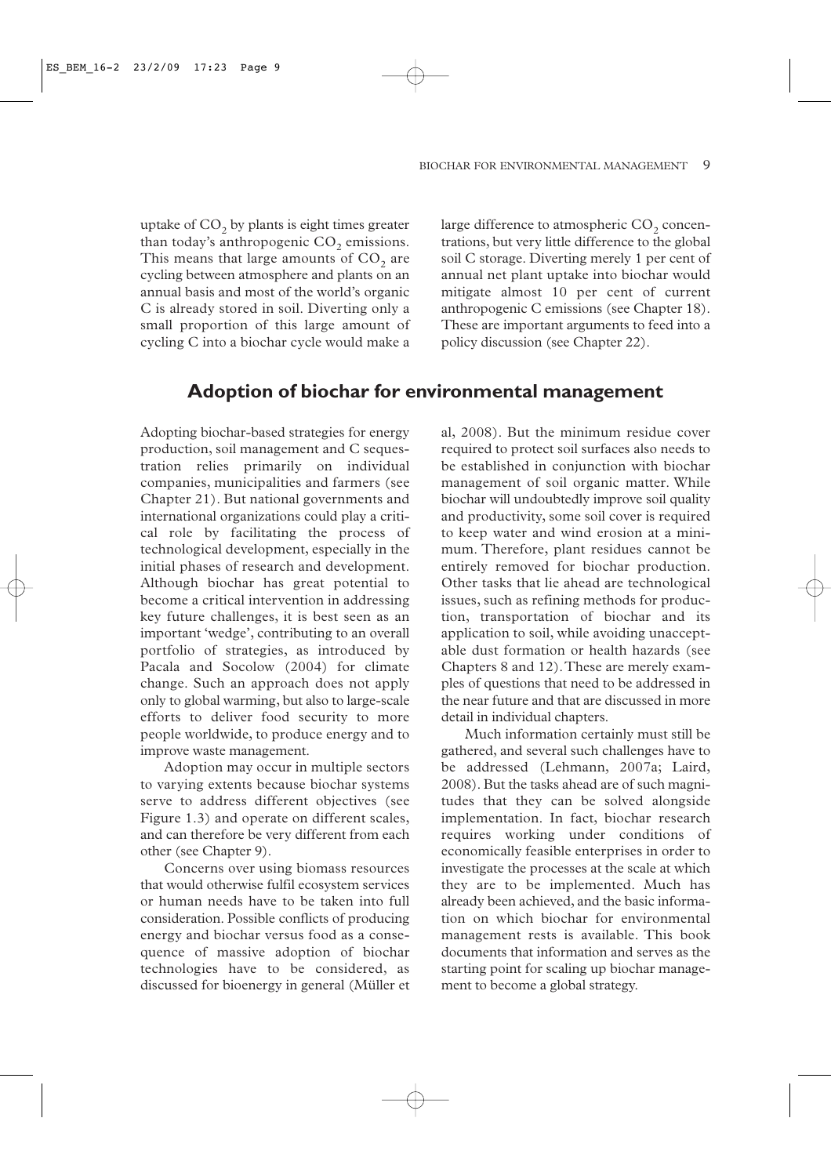uptake of  $CO<sub>2</sub>$  by plants is eight times greater than today's anthropogenic  $CO<sub>2</sub>$  emissions. This means that large amounts of  $CO<sub>2</sub>$  are cycling between atmosphere and plants on an annual basis and most of the world's organic C is already stored in soil. Diverting only a small proportion of this large amount of cycling C into a biochar cycle would make a

large difference to atmospheric  $CO<sub>2</sub>$  concentrations, but very little difference to the global soil C storage. Diverting merely 1 per cent of annual net plant uptake into biochar would mitigate almost 10 per cent of current anthropogenic C emissions (see Chapter 18). These are important arguments to feed into a policy discussion (see Chapter 22).

# **Adoption of biochar for environmental management**

Adopting biochar-based strategies for energy production, soil management and C sequestration relies primarily on individual companies, municipalities and farmers (see Chapter 21). But national governments and international organizations could play a critical role by facilitating the process of technological development, especially in the initial phases of research and development. Although biochar has great potential to become a critical intervention in addressing key future challenges, it is best seen as an important 'wedge', contributing to an overall portfolio of strategies, as introduced by Pacala and Socolow (2004) for climate change. Such an approach does not apply only to global warming, but also to large-scale efforts to deliver food security to more people worldwide, to produce energy and to improve waste management.

Adoption may occur in multiple sectors to varying extents because biochar systems serve to address different objectives (see Figure 1.3) and operate on different scales, and can therefore be very different from each other (see Chapter 9).

Concerns over using biomass resources that would otherwise fulfil ecosystem services or human needs have to be taken into full consideration. Possible conflicts of producing energy and biochar versus food as a consequence of massive adoption of biochar technologies have to be considered, as discussed for bioenergy in general (Müller et al, 2008). But the minimum residue cover required to protect soil surfaces also needs to be established in conjunction with biochar management of soil organic matter. While biochar will undoubtedly improve soil quality and productivity, some soil cover is required to keep water and wind erosion at a minimum. Therefore, plant residues cannot be entirely removed for biochar production. Other tasks that lie ahead are technological issues, such as refining methods for production, transportation of biochar and its application to soil, while avoiding unacceptable dust formation or health hazards (see Chapters 8 and 12).These are merely examples of questions that need to be addressed in the near future and that are discussed in more detail in individual chapters.

Much information certainly must still be gathered, and several such challenges have to be addressed (Lehmann, 2007a; Laird, 2008). But the tasks ahead are of such magnitudes that they can be solved alongside implementation. In fact, biochar research requires working under conditions of economically feasible enterprises in order to investigate the processes at the scale at which they are to be implemented. Much has already been achieved, and the basic information on which biochar for environmental management rests is available. This book documents that information and serves as the starting point for scaling up biochar management to become a global strategy.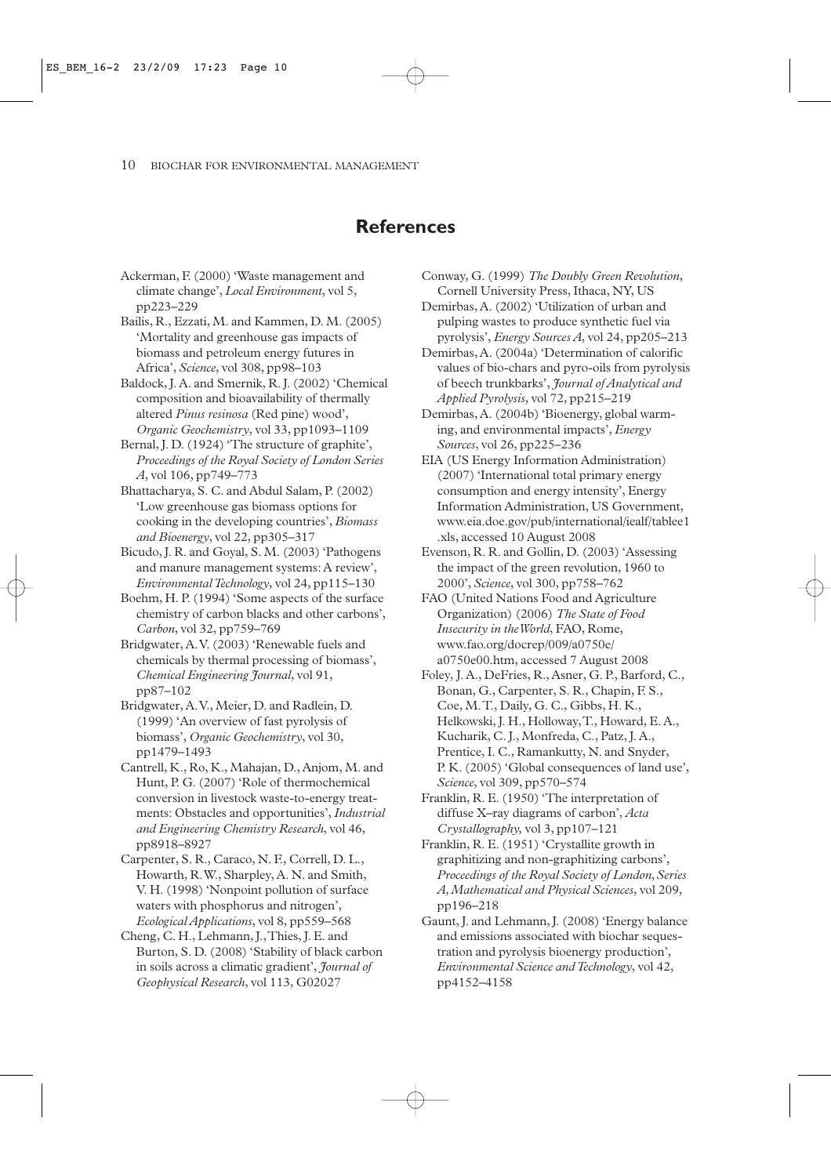### **References**

Ackerman, F. (2000) 'Waste management and climate change', *Local Environment*, vol 5, pp223–229

- Bailis, R., Ezzati, M. and Kammen, D. M. (2005) 'Mortality and greenhouse gas impacts of biomass and petroleum energy futures in Africa', *Science*, vol 308, pp98–103
- Baldock, J. A. and Smernik, R. J. (2002) 'Chemical composition and bioavailability of thermally altered *Pinus resinosa* (Red pine) wood', *Organic Geochemistry*, vol 33, pp1093–1109
- Bernal, J. D. (1924) 'The structure of graphite', *Proceedings of the Royal Society of London Series A*, vol 106, pp749–773
- Bhattacharya, S. C. and Abdul Salam, P. (2002) 'Low greenhouse gas biomass options for cooking in the developing countries', *Biomass and Bioenergy*, vol 22, pp305–317
- Bicudo, J. R. and Goyal, S. M. (2003) 'Pathogens and manure management systems: A review', *Environmental Technology*, vol 24, pp115–130
- Boehm, H. P. (1994) 'Some aspects of the surface chemistry of carbon blacks and other carbons', *Carbon*, vol 32, pp759–769
- Bridgwater, A.V. (2003) 'Renewable fuels and chemicals by thermal processing of biomass', *Chemical Engineering Journal*, vol 91, pp87–102
- Bridgwater, A.V., Meier, D. and Radlein, D. (1999) 'An overview of fast pyrolysis of biomass', *Organic Geochemistry*, vol 30, pp1479–1493
- Cantrell, K., Ro, K., Mahajan, D., Anjom, M. and Hunt, P. G. (2007) 'Role of thermochemical conversion in livestock waste-to-energy treatments: Obstacles and opportunities', *Industrial and Engineering Chemistry Research*, vol 46, pp8918–8927
- Carpenter, S. R., Caraco, N. F., Correll, D. L., Howarth, R.W., Sharpley, A. N. and Smith, V. H. (1998) 'Nonpoint pollution of surface waters with phosphorus and nitrogen', *Ecological Applications*, vol 8, pp559–568
- Cheng, C. H., Lehmann, J.,Thies, J. E. and Burton, S. D. (2008) 'Stability of black carbon in soils across a climatic gradient', *Journal of Geophysical Research*, vol 113, G02027

Conway, G. (1999) *The Doubly Green Revolution*, Cornell University Press, Ithaca, NY, US

- Demirbas, A. (2002) 'Utilization of urban and pulping wastes to produce synthetic fuel via pyrolysis', *Energy Sources A*, vol 24, pp205–213
- Demirbas, A. (2004a) 'Determination of calorific values of bio-chars and pyro-oils from pyrolysis of beech trunkbarks', *Journal of Analytical and Applied Pyrolysis*, vol 72, pp215–219
- Demirbas, A. (2004b) 'Bioenergy, global warming, and environmental impacts', *Energy Sources*, vol 26, pp225–236
- EIA (US Energy Information Administration) (2007) 'International total primary energy consumption and energy intensity', Energy Information Administration, US Government, www.eia.doe.gov/pub/international/iealf/tablee1 .xls, accessed 10 August 2008
- Evenson, R. R. and Gollin, D. (2003) 'Assessing the impact of the green revolution, 1960 to 2000', *Science*, vol 300, pp758–762
- FAO (United Nations Food and Agriculture Organization) (2006) *The State of Food Insecurity in the World*, FAO, Rome, www.fao.org/docrep/009/a0750e/ a0750e00.htm, accessed 7 August 2008
- Foley, J. A., DeFries, R., Asner, G. P., Barford, C., Bonan, G., Carpenter, S. R., Chapin, F. S., Coe, M.T., Daily, G. C., Gibbs, H. K., Helkowski, J. H., Holloway,T., Howard, E. A., Kucharik, C. J., Monfreda, C., Patz, J. A., Prentice, I. C., Ramankutty, N. and Snyder, P. K. (2005) 'Global consequences of land use', *Science*, vol 309, pp570–574
- Franklin, R. E. (1950) 'The interpretation of diffuse X–ray diagrams of carbon', *Acta Crystallography,* vol 3, pp107–121
- Franklin, R. E. (1951) 'Crystallite growth in graphitizing and non-graphitizing carbons', *Proceedings of the Royal Society of London, Series A, Mathematical and Physical Sciences*, vol 209, pp196–218
- Gaunt, J. and Lehmann, J. (2008) 'Energy balance and emissions associated with biochar sequestration and pyrolysis bioenergy production', *Environmental Science and Technology*, vol 42, pp4152–4158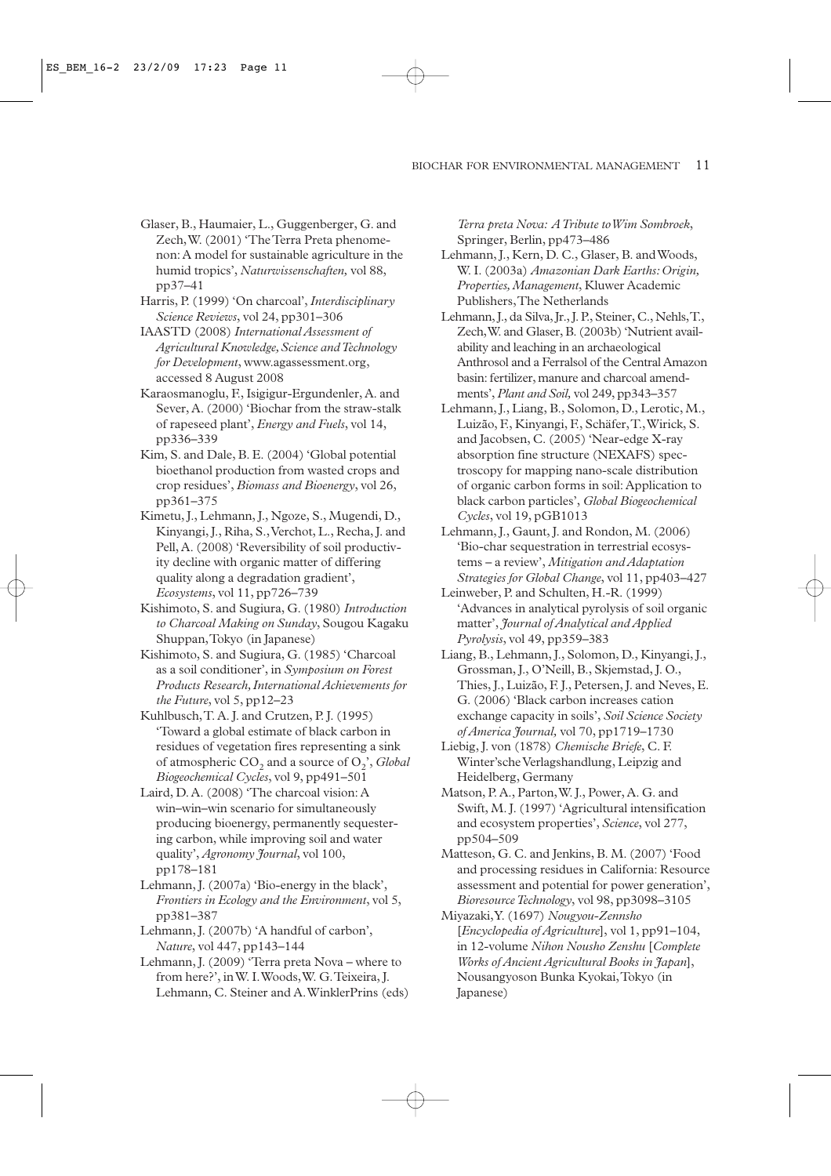Glaser, B., Haumaier, L., Guggenberger, G. and Zech,W. (2001) 'The Terra Preta phenomenon: A model for sustainable agriculture in the humid tropics', *Naturwissenschaften,* vol 88, pp37–41

Harris, P. (1999) 'On charcoal', *Interdisciplinary Science Reviews*, vol 24, pp301–306

IAASTD (2008) *International Assessment of Agricultural Knowledge, Science and Technology for Development*, www.agassessment.org, accessed 8 August 2008

- Karaosmanoglu, F., Isigigur-Ergundenler, A. and Sever, A. (2000) 'Biochar from the straw-stalk of rapeseed plant', *Energy and Fuels*, vol 14, pp336–339
- Kim, S. and Dale, B. E. (2004) 'Global potential bioethanol production from wasted crops and crop residues', *Biomass and Bioenergy*, vol 26, pp361–375
- Kimetu, J., Lehmann, J., Ngoze, S., Mugendi, D., Kinyangi, J., Riha, S.,Verchot, L., Recha, J. and Pell, A. (2008) 'Reversibility of soil productivity decline with organic matter of differing quality along a degradation gradient', *Ecosystems*, vol 11, pp726–739
- Kishimoto, S. and Sugiura, G. (1980) *Introduction to Charcoal Making on Sunday*, Sougou Kagaku Shuppan,Tokyo (in Japanese)
- Kishimoto, S. and Sugiura, G. (1985) 'Charcoal as a soil conditioner', in *Symposium on Forest Products Research, International Achievements for the Future*, vol 5, pp12–23
- Kuhlbusch,T. A. J. and Crutzen, P. J. (1995) 'Toward a global estimate of black carbon in residues of vegetation fires representing a sink of atmospheric CO<sub>2</sub> and a source of O<sub>2</sub>', *Global Biogeochemical Cycles*, vol 9, pp491–501

Laird, D. A. (2008) 'The charcoal vision: A win–win–win scenario for simultaneously producing bioenergy, permanently sequestering carbon, while improving soil and water quality', *Agronomy Journal*, vol 100, pp178–181

- Lehmann, J. (2007a) 'Bio-energy in the black', *Frontiers in Ecology and the Environment*, vol 5, pp381–387
- Lehmann, J. (2007b) 'A handful of carbon', *Nature*, vol 447, pp143–144
- Lehmann, J. (2009) 'Terra preta Nova where to from here?', in W. I.Woods,W. G.Teixeira, J. Lehmann, C. Steiner and A.WinklerPrins (eds)

*Terra preta Nova: A Tribute to Wim Sombroek*, Springer, Berlin, pp473–486

- Lehmann, J., Kern, D. C., Glaser, B. and Woods, W. I. (2003a) *Amazonian Dark Earths: Origin, Properties, Management*, Kluwer Academic Publishers,The Netherlands
- Lehmann, J., da Silva, Jr., J. P., Steiner, C., Nehls,T., Zech,W. and Glaser, B. (2003b) 'Nutrient availability and leaching in an archaeological Anthrosol and a Ferralsol of the Central Amazon basin: fertilizer, manure and charcoal amendments', *Plant and Soil,* vol 249, pp343–357
- Lehmann, J., Liang, B., Solomon, D., Lerotic, M., Luizão, F., Kinyangi, F., Schäfer,T.,Wirick, S. and Jacobsen, C. (2005) 'Near-edge X-ray absorption fine structure (NEXAFS) spectroscopy for mapping nano-scale distribution of organic carbon forms in soil: Application to black carbon particles', *Global Biogeochemical Cycles*, vol 19, pGB1013
- Lehmann, J., Gaunt, J. and Rondon, M. (2006) 'Bio-char sequestration in terrestrial ecosystems – a review', *Mitigation and Adaptation Strategies for Global Change*, vol 11, pp403–427
- Leinweber, P. and Schulten, H.-R. (1999) 'Advances in analytical pyrolysis of soil organic matter', *Journal of Analytical and Applied Pyrolysis*, vol 49, pp359–383
- Liang, B., Lehmann, J., Solomon, D., Kinyangi, J., Grossman, J., O'Neill, B., Skjemstad, J. O., Thies, J., Luizão, F. J., Petersen, J. and Neves, E. G. (2006) 'Black carbon increases cation exchange capacity in soils', *Soil Science Society of America Journal,* vol 70, pp1719–1730
- Liebig, J. von (1878) *Chemische Briefe*, C. F. Winter'sche Verlagshandlung, Leipzig and Heidelberg, Germany
- Matson, P. A., Parton,W. J., Power, A. G. and Swift, M. J. (1997) 'Agricultural intensification and ecosystem properties', *Science*, vol 277, pp504–509
- Matteson, G. C. and Jenkins, B. M. (2007) 'Food and processing residues in California: Resource assessment and potential for power generation', *Bioresource Technology*, vol 98, pp3098–3105
- Miyazaki,Y. (1697) *Nougyou-Zennsho* [*Encyclopedia of Agriculture*], vol 1, pp91–104, in 12-volume *Nihon Nousho Zenshu* [*Complete Works of Ancient Agricultural Books in Japan*], Nousangyoson Bunka Kyokai,Tokyo (in Japanese)